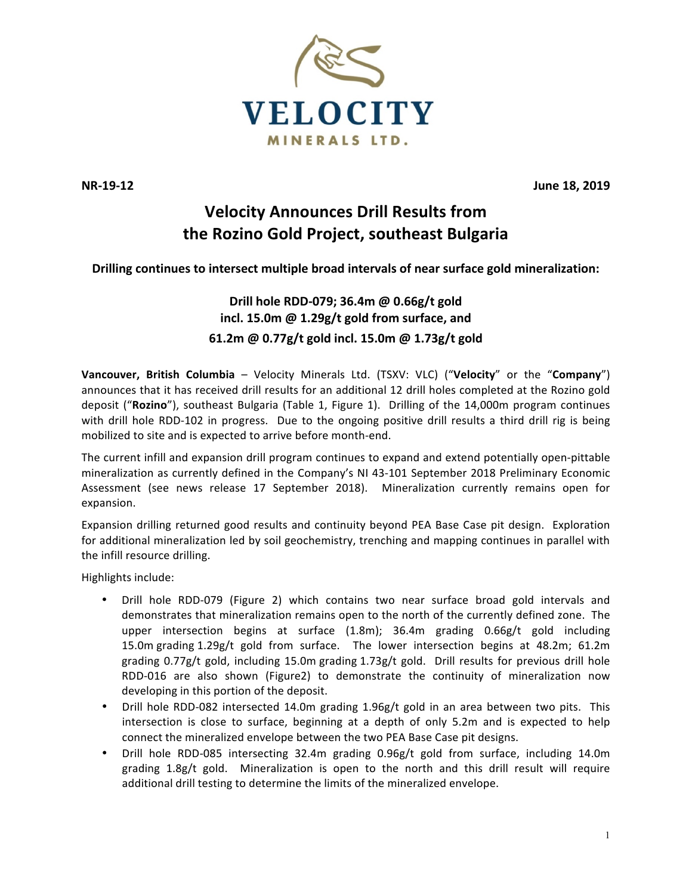

**NR-19-12 June 18, 2019** 

# **Velocity Announces Drill Results from the Rozino Gold Project, southeast Bulgaria**

# Drilling continues to intersect multiple broad intervals of near surface gold mineralization:

# **Drill hole RDD-079; 36.4m @ 0.66g/t gold** incl. 15.0m @ 1.29g/t gold from surface, and **61.2m @ 0.77g/t gold incl. 15.0m @ 1.73g/t gold**

**Vancouver, British Columbia** – Velocity Minerals Ltd. (TSXV: VLC) ("Velocity" or the "Company") announces that it has received drill results for an additional 12 drill holes completed at the Rozino gold deposit ("Rozino"), southeast Bulgaria (Table 1, Figure 1). Drilling of the 14,000m program continues with drill hole RDD-102 in progress. Due to the ongoing positive drill results a third drill rig is being mobilized to site and is expected to arrive before month-end.

The current infill and expansion drill program continues to expand and extend potentially open-pittable mineralization as currently defined in the Company's NI 43-101 September 2018 Preliminary Economic Assessment (see news release 17 September 2018). Mineralization currently remains open for expansion.

Expansion drilling returned good results and continuity beyond PEA Base Case pit design. Exploration for additional mineralization led by soil geochemistry, trenching and mapping continues in parallel with the infill resource drilling.

Highlights include:

- Drill hole RDD-079 (Figure 2) which contains two near surface broad gold intervals and demonstrates that mineralization remains open to the north of the currently defined zone. The upper intersection begins at surface (1.8m); 36.4m grading 0.66g/t gold including 15.0m grading 1.29g/t gold from surface. The lower intersection begins at 48.2m; 61.2m grading  $0.77g/t$  gold, including 15.0m grading  $1.73g/t$  gold. Drill results for previous drill hole RDD-016 are also shown (Figure2) to demonstrate the continuity of mineralization now developing in this portion of the deposit.
- Drill hole RDD-082 intersected 14.0m grading 1.96g/t gold in an area between two pits. This intersection is close to surface, beginning at a depth of only 5.2m and is expected to help connect the mineralized envelope between the two PEA Base Case pit designs.
- Drill hole RDD-085 intersecting 32.4m grading 0.96g/t gold from surface, including 14.0m grading  $1.8g/t$  gold. Mineralization is open to the north and this drill result will require additional drill testing to determine the limits of the mineralized envelope.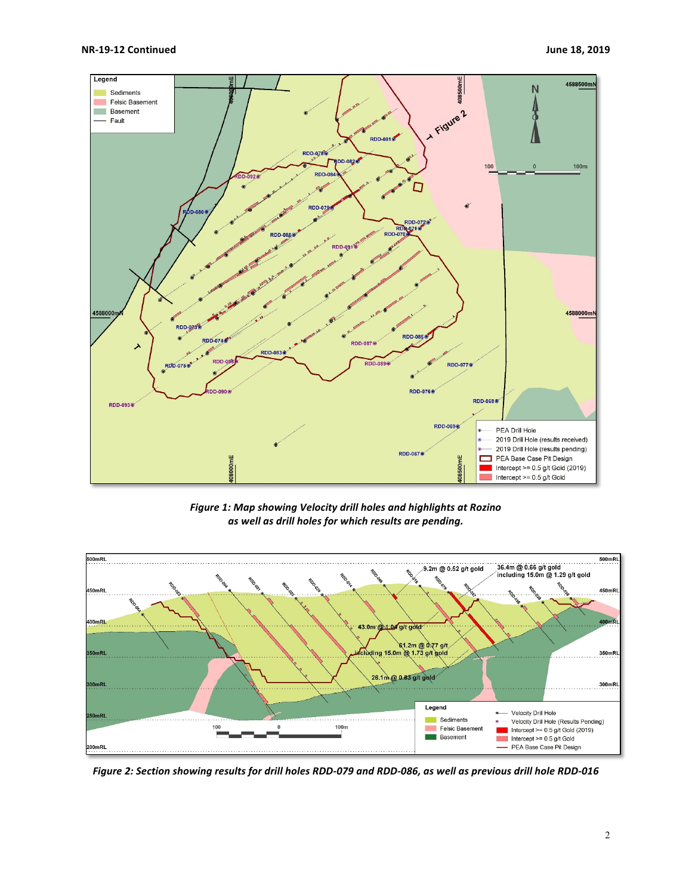

Figure 1: Map showing Velocity drill holes and highlights at Rozino *as well as drill holes for which results are pending.*



Figure 2: Section showing results for drill holes RDD-079 and RDD-086, as well as previous drill hole RDD-016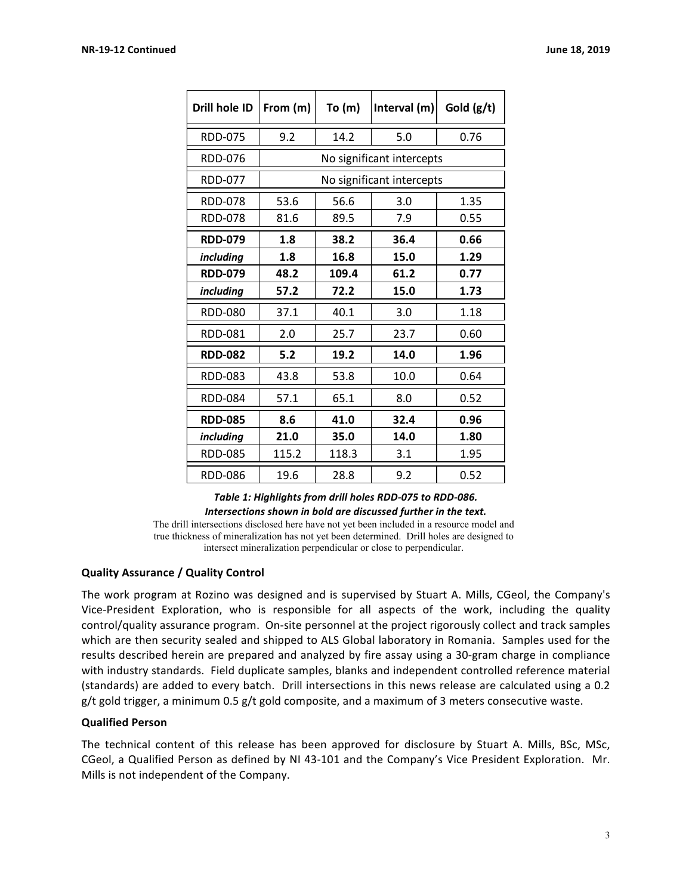| Drill hole ID  | From (m)                  | To $(m)$ | Interval (m) | Gold $(g/t)$ |
|----------------|---------------------------|----------|--------------|--------------|
| <b>RDD-075</b> | 9.2                       | 14.2     | 5.0          | 0.76         |
| <b>RDD-076</b> | No significant intercepts |          |              |              |
| <b>RDD-077</b> | No significant intercepts |          |              |              |
| <b>RDD-078</b> | 53.6                      | 56.6     | 3.0          | 1.35         |
| <b>RDD-078</b> | 81.6                      | 89.5     | 7.9          | 0.55         |
| <b>RDD-079</b> | 1.8                       | 38.2     | 36.4         | 0.66         |
| including      | 1.8                       | 16.8     | 15.0         | 1.29         |
| <b>RDD-079</b> | 48.2                      | 109.4    | 61.2         | 0.77         |
| including      | 57.2                      | 72.2     | 15.0         | 1.73         |
| <b>RDD-080</b> | 37.1                      | 40.1     | 3.0          | 1.18         |
| <b>RDD-081</b> | 2.0                       | 25.7     | 23.7         | 0.60         |
| <b>RDD-082</b> | 5.2                       | 19.2     | 14.0         | 1.96         |
| <b>RDD-083</b> | 43.8                      | 53.8     | 10.0         | 0.64         |
| RDD-084        | 57.1                      | 65.1     | 8.0          | 0.52         |
| <b>RDD-085</b> | 8.6                       | 41.0     | 32.4         | 0.96         |
| including      | 21.0                      | 35.0     | 14.0         | 1.80         |
| <b>RDD-085</b> | 115.2                     | 118.3    | 3.1          | 1.95         |
| <b>RDD-086</b> | 19.6                      | 28.8     | 9.2          | 0.52         |

## Table 1: Highlights from drill holes RDD-075 to RDD-086. Intersections shown in bold are discussed further in the text.

The drill intersections disclosed here have not yet been included in a resource model and true thickness of mineralization has not yet been determined. Drill holes are designed to intersect mineralization perpendicular or close to perpendicular.

# **Quality Assurance / Quality Control**

The work program at Rozino was designed and is supervised by Stuart A. Mills, CGeol, the Company's Vice-President Exploration, who is responsible for all aspects of the work, including the quality control/quality assurance program. On-site personnel at the project rigorously collect and track samples which are then security sealed and shipped to ALS Global laboratory in Romania. Samples used for the results described herein are prepared and analyzed by fire assay using a 30-gram charge in compliance with industry standards. Field duplicate samples, blanks and independent controlled reference material (standards) are added to every batch. Drill intersections in this news release are calculated using a 0.2  $g/t$  gold trigger, a minimum 0.5  $g/t$  gold composite, and a maximum of 3 meters consecutive waste.

### **Qualified Person**

The technical content of this release has been approved for disclosure by Stuart A. Mills, BSc, MSc, CGeol, a Qualified Person as defined by NI 43-101 and the Company's Vice President Exploration. Mr. Mills is not independent of the Company.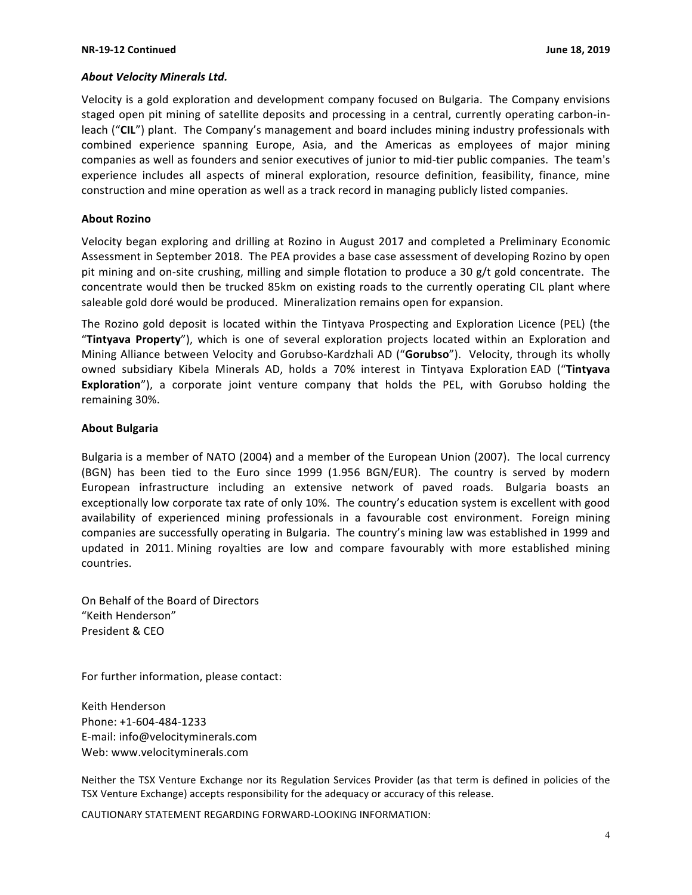#### *About Velocity Minerals Ltd.*

Velocity is a gold exploration and development company focused on Bulgaria. The Company envisions staged open pit mining of satellite deposits and processing in a central, currently operating carbon-inleach ("CIL") plant. The Company's management and board includes mining industry professionals with combined experience spanning Europe, Asia, and the Americas as employees of major mining companies as well as founders and senior executives of junior to mid-tier public companies. The team's experience includes all aspects of mineral exploration, resource definition, feasibility, finance, mine construction and mine operation as well as a track record in managing publicly listed companies.

#### **About Rozino**

Velocity began exploring and drilling at Rozino in August 2017 and completed a Preliminary Economic Assessment in September 2018. The PEA provides a base case assessment of developing Rozino by open pit mining and on-site crushing, milling and simple flotation to produce a 30 g/t gold concentrate. The concentrate would then be trucked 85km on existing roads to the currently operating CIL plant where saleable gold doré would be produced. Mineralization remains open for expansion.

The Rozino gold deposit is located within the Tintyava Prospecting and Exploration Licence (PEL) (the "Tintyava Property"), which is one of several exploration projects located within an Exploration and Mining Alliance between Velocity and Gorubso-Kardzhali AD ("**Gorubso**"). Velocity, through its wholly owned subsidiary Kibela Minerals AD, holds a 70% interest in Tintyava Exploration EAD ("**Tintyava Exploration**"), a corporate joint venture company that holds the PEL, with Gorubso holding the remaining 30%.

#### **About Bulgaria**

Bulgaria is a member of NATO (2004) and a member of the European Union (2007). The local currency (BGN) has been tied to the Euro since 1999 (1.956 BGN/EUR). The country is served by modern European infrastructure including an extensive network of paved roads. Bulgaria boasts an exceptionally low corporate tax rate of only 10%. The country's education system is excellent with good availability of experienced mining professionals in a favourable cost environment. Foreign mining companies are successfully operating in Bulgaria. The country's mining law was established in 1999 and updated in 2011. Mining royalties are low and compare favourably with more established mining countries.

On Behalf of the Board of Directors "Keith Henderson" President & CEO

For further information, please contact:

Keith Henderson Phone: +1-604-484-1233 E-mail: info@velocityminerals.com Web: www.velocityminerals.com

Neither the TSX Venture Exchange nor its Regulation Services Provider (as that term is defined in policies of the TSX Venture Exchange) accepts responsibility for the adequacy or accuracy of this release.

CAUTIONARY STATEMENT REGARDING FORWARD-LOOKING INFORMATION: